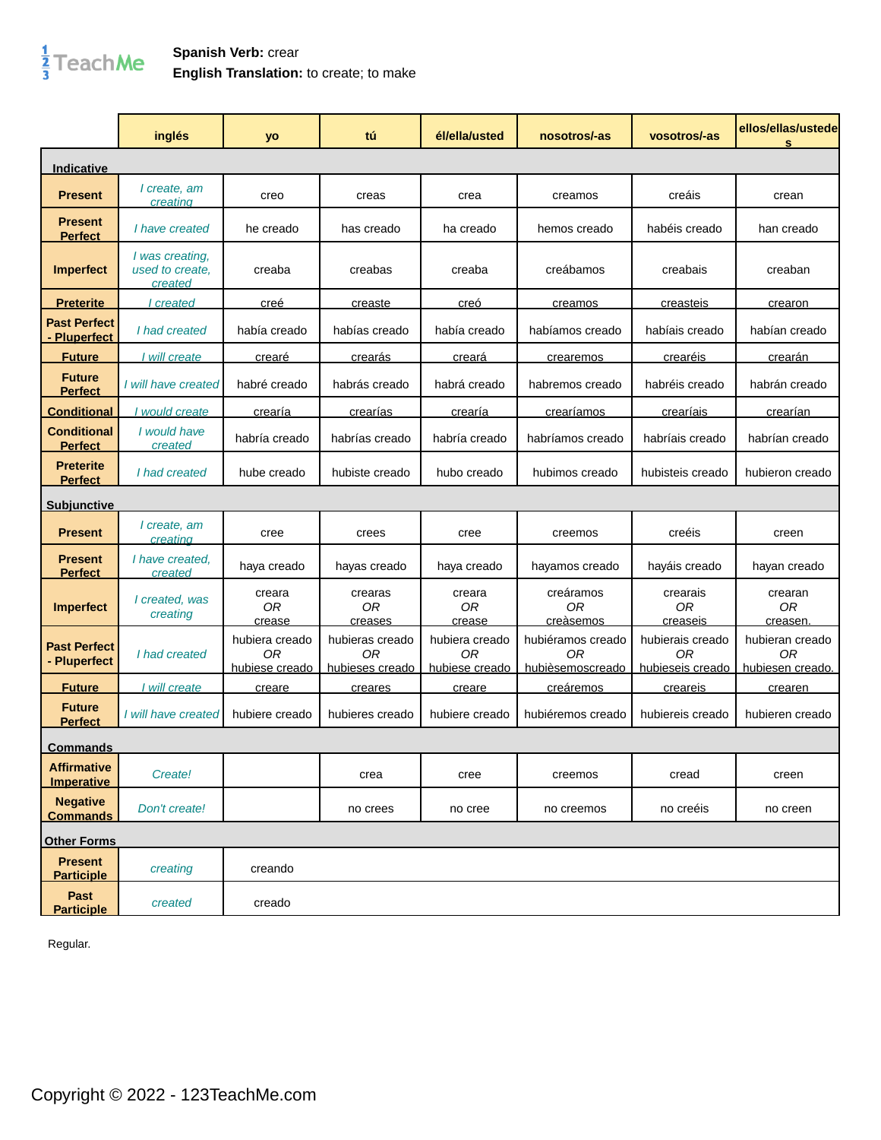## $\frac{1}{3}$ TeachMe

## **Spanish Verb:** crear **English Translation:** to create; to make

|                                      | inglés                                        | yo                                     | tú                                       | él/ella/usted                          | nosotros/-as                                | vosotros/-as                                           | ellos/ellas/ustede<br>s                   |
|--------------------------------------|-----------------------------------------------|----------------------------------------|------------------------------------------|----------------------------------------|---------------------------------------------|--------------------------------------------------------|-------------------------------------------|
| Indicative                           |                                               |                                        |                                          |                                        |                                             |                                                        |                                           |
| <b>Present</b>                       | l create, am<br>creating                      | creo                                   | creas                                    | crea                                   | creamos                                     | creáis                                                 | crean                                     |
| <b>Present</b><br><b>Perfect</b>     | I have created                                | he creado                              | has creado                               | ha creado                              | hemos creado                                | habéis creado                                          | han creado                                |
| <b>Imperfect</b>                     | I was creating,<br>used to create,<br>created | creaba                                 | creabas                                  | creaba                                 | creábamos                                   | creabais                                               | creaban                                   |
| <u>Preterite</u>                     | <i>created</i>                                | <u>creé</u>                            | creaste                                  | <u>creó</u>                            | creamos                                     | creasteis                                              | crearon                                   |
| <b>Past Perfect</b><br>- Pluperfect  | I had created                                 | había creado                           | habías creado                            | había creado                           | habíamos creado                             | habíais creado                                         | habían creado                             |
| <b>Future</b>                        | I will create                                 | crearé                                 | crearás                                  | <b>creará</b>                          | crearemos                                   | crearéis                                               | <b>crearán</b>                            |
| <b>Future</b><br><b>Perfect</b>      | I will have created                           | habré creado                           | habrás creado                            | habrá creado                           | habremos creado                             | habréis creado                                         | habrán creado                             |
| <b>Conditional</b>                   | l would create                                | crearía                                | crearías                                 | crearía                                | creariamos                                  | crearíais                                              | crearían                                  |
| <b>Conditional</b><br><b>Perfect</b> | I would have<br>created                       | habría creado                          | habrías creado                           | habría creado                          | habríamos creado                            | habríais creado                                        | habrían creado                            |
| <b>Preterite</b><br><b>Perfect</b>   | I had created                                 | hube creado                            | hubiste creado                           | hubo creado                            | hubimos creado                              | hubisteis creado                                       | hubieron creado                           |
| <b>Subjunctive</b>                   |                                               |                                        |                                          |                                        |                                             |                                                        |                                           |
| <b>Present</b>                       | I create, am<br>creating                      | cree                                   | crees                                    | cree                                   | creemos                                     | creéis                                                 | creen                                     |
| <b>Present</b><br><b>Perfect</b>     | I have created,<br>created                    | haya creado                            | hayas creado                             | haya creado                            | hayamos creado                              | hayáis creado                                          | hayan creado                              |
| <b>Imperfect</b>                     | I created, was<br>creating                    | creara<br>0 <sub>R</sub><br>crease     | crearas<br>0R<br>creases                 | creara<br>0R<br>crease                 | creáramos<br>0 <sub>R</sub><br>creàsemos    | crearais<br><b>OR</b><br>creaseis                      | crearan<br>0 <sub>R</sub><br>creasen.     |
| <b>Past Perfect</b><br>- Pluperfect  | I had created                                 | hubiera creado<br>0R<br>hubiese creado | hubieras creado<br>ΟR<br>hubieses creado | hubiera creado<br>0R<br>hubiese creado | hubiéramos creado<br>ΟR<br>hubièsemoscreado | hubierais creado<br>0 <sub>R</sub><br>hubieseis creado | hubieran creado<br>0R<br>hubiesen creado. |
| <b>Future</b>                        | I will create                                 | creare                                 | <b>creares</b>                           | <u>creare</u>                          | creáremos                                   | <b>creareis</b>                                        | crearen                                   |
| <b>Future</b><br><b>Perfect</b>      | I will have created                           | hubiere creado                         | hubieres creado                          | hubiere creado                         | hubiéremos creado                           | hubiereis creado                                       | hubieren creado                           |
| <b>Commands</b>                      |                                               |                                        |                                          |                                        |                                             |                                                        |                                           |
| <b>Affirmative</b><br>Imperative     | Create!                                       |                                        | crea                                     | cree                                   | creemos                                     | cread                                                  | creen                                     |
| <b>Negative</b><br><b>Commands</b>   | Don't create!                                 |                                        | no crees                                 | no cree                                | no creemos                                  | no creéis                                              | no creen                                  |
| <b>Other Forms</b>                   |                                               |                                        |                                          |                                        |                                             |                                                        |                                           |
| <b>Present</b><br><b>Participle</b>  | creating                                      | creando                                |                                          |                                        |                                             |                                                        |                                           |
| Past<br><b>Participle</b>            | created                                       | creado                                 |                                          |                                        |                                             |                                                        |                                           |

Regular.